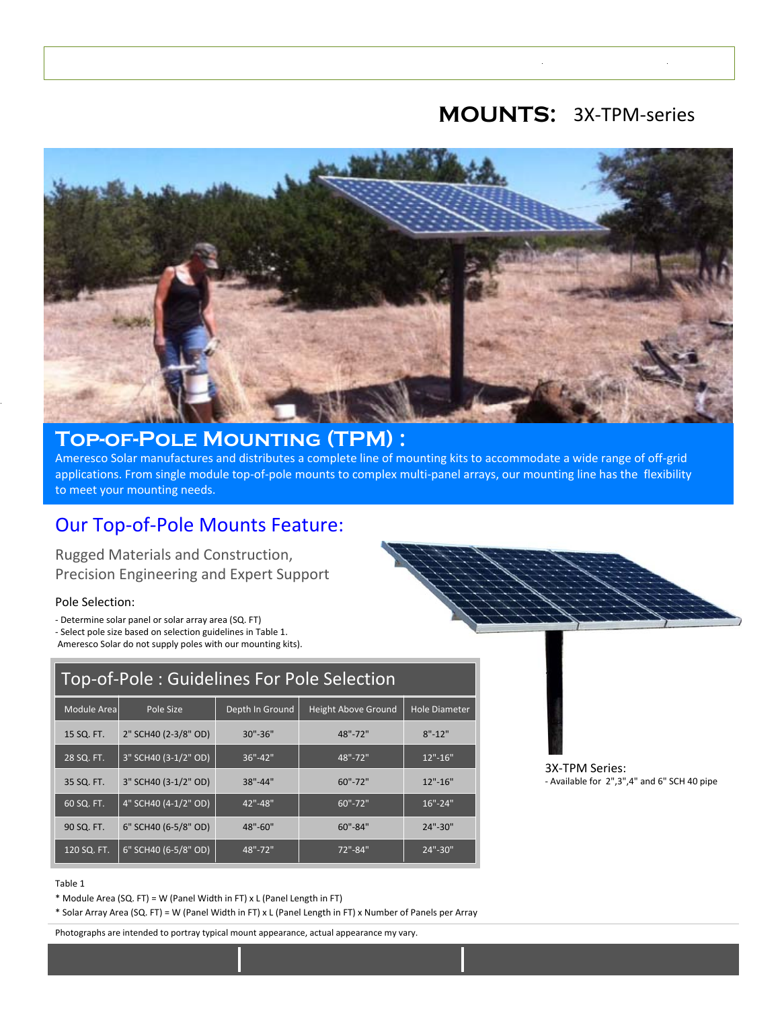# **MOUNTS:** 3X-TPM-series



### **Top-of-Pole Mounting (TPM) :**

Ameresco Solar manufactures and distributes a complete line of mounting kits to accommodate a wide range of off-grid applications. From single module top-of-pole mounts to complex multi-panel arrays, our mounting line has the flexibility to meet your mounting needs.

# Our Top-of-Pole Mounts Feature:

Rugged Materials and Construction, Precision Engineering and Expert Support

### Pole Selection:

- Determine solar panel or solar array area (SQ. FT)
- Select pole size based on selection guidelines in Table 1.
- Ameresco Solar do not supply poles with our mounting kits).

### Top-of-Pole : Guidelines For Pole Selection

| Module Area  | Pole Size            | Depth In Ground | <b>Height Above Ground</b> | Hole Diameter |
|--------------|----------------------|-----------------|----------------------------|---------------|
| 15 SQ. FT.   | 2" SCH40 (2-3/8" OD) | 30"-36"         | 48"-72"                    | $8" - 12"$    |
| $28$ SQ. FT. | 3" SCH40 (3-1/2" OD) | $36" - 42"$     | 48"-72"                    | $12" - 16"$   |
| 35 SQ. FT.   | 3" SCH40 (3-1/2" OD) | 38"-44"         | $60" - 72"$                | $12" - 16"$   |
| 60 SQ. FT.   | 4" SCH40 (4-1/2" OD) | $42" - 48"$     | $60" - 72"$                | $16" - 24"$   |
| 90 SQ. FT.   | 6" SCH40 (6-5/8" OD) | 48"-60"         | $60" - 84"$                | $24" - 30"$   |
| 120 SQ. FT.  | 6" SCH40 (6-5/8" OD) | 48"-72"         | 72"-84"                    | 24"-30"       |

#### Table 1

\* Module Area (SQ. FT) = W (Panel Width in FT) x L (Panel Length in FT)

\* Solar Array Area (SQ. FT) = W (Panel Width in FT) x L (Panel Length in FT) x Number of Panels per Array

Photographs are intended to portray typical mount appearance, actual appearance my vary.



3X-TPM Series: - Available for 2",3",4" and 6" SCH 40 pipe